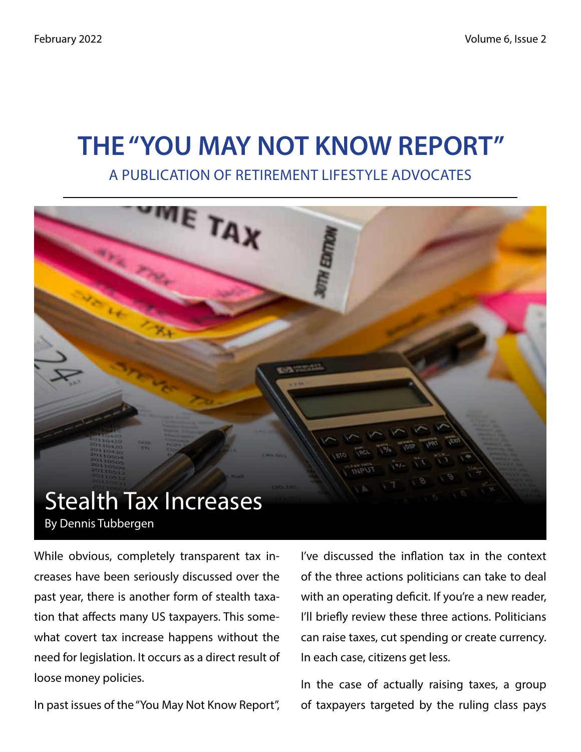# THE "YOU MAY NOT KNOW REPORT"

#### A PUBLICATION OF RETIREMENT LIFESTYLE ADVOCATES



While obvious, completely transparent tax increases have been seriously discussed over the past year, there is another form of stealth taxation that affects many US taxpayers. This somewhat covert tax increase happens without the need for legislation. It occurs as a direct result of loose money policies.

In past issues of the "You May Not Know Report",

I've discussed the inflation tax in the context of the three actions politicians can take to deal with an operating deficit. If you're a new reader, I'll briefly review these three actions. Politicians can raise taxes, cut spending or create currency. In each case, citizens get less.

In the case of actually raising taxes, a group of taxpayers targeted by the ruling class pays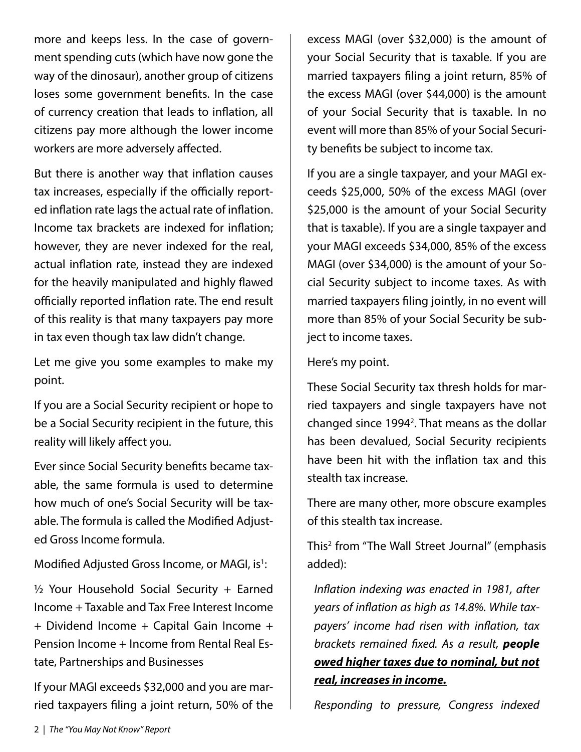more and keeps less. In the case of government spending cuts (which have now gone the way of the dinosaur), another group of citizens loses some government benefits. In the case of currency creation that leads to inflation, all citizens pay more although the lower income workers are more adversely affected.

But there is another way that inflation causes tax increases, especially if the officially reported inflation rate lags the actual rate of inflation. Income tax brackets are indexed for inflation; however, they are never indexed for the real, actual inflation rate, instead they are indexed for the heavily manipulated and highly flawed officially reported inflation rate. The end result of this reality is that many taxpayers pay more in tax even though tax law didn't change.

Let me give you some examples to make my point.

If you are a Social Security recipient or hope to be a Social Security recipient in the future, this reality will likely affect you.

Ever since Social Security benefits became taxable, the same formula is used to determine how much of one's Social Security will be taxable. The formula is called the Modified Adjusted Gross Income formula.

Modified Adjusted Gross Income, or MAGI, is<sup>1</sup>:

 $\frac{1}{2}$  Your Household Social Security + Earned Income + Taxable and Tax Free Interest Income + Dividend Income + Capital Gain Income + Pension Income + Income from Rental Real Estate, Partnerships and Businesses

If your MAGI exceeds \$32,000 and you are married taxpayers filing a joint return, 50% of the excess MAGI (over \$32,000) is the amount of your Social Security that is taxable. If you are married taxpayers filing a joint return, 85% of the excess MAGI (over \$44,000) is the amount of your Social Security that is taxable. In no event will more than 85% of your Social Security benefits be subject to income tax.

If you are a single taxpayer, and your MAGI exceeds \$25,000, 50% of the excess MAGI (over \$25,000 is the amount of your Social Security that is taxable). If you are a single taxpayer and your MAGI exceeds \$34,000, 85% of the excess MAGI (over \$34,000) is the amount of your Social Security subject to income taxes. As with married taxpayers filing jointly, in no event will more than 85% of your Social Security be subject to income taxes.

Here's my point.

These Social Security tax thresh holds for married taxpayers and single taxpayers have not changed since 1994<sup>2</sup>. That means as the dollar has been devalued, Social Security recipients have been hit with the inflation tax and this stealth tax increase.

There are many other, more obscure examples of this stealth tax increase.

This2 from "The Wall Street Journal" (emphasis added):

*Inflation indexing was enacted in 1981, after years of inflation as high as 14.8%. While taxpayers' income had risen with inflation, tax brackets remained fixed. As a result, people owed higher taxes due to nominal, but not real, increases in income.*

*Responding to pressure, Congress indexed*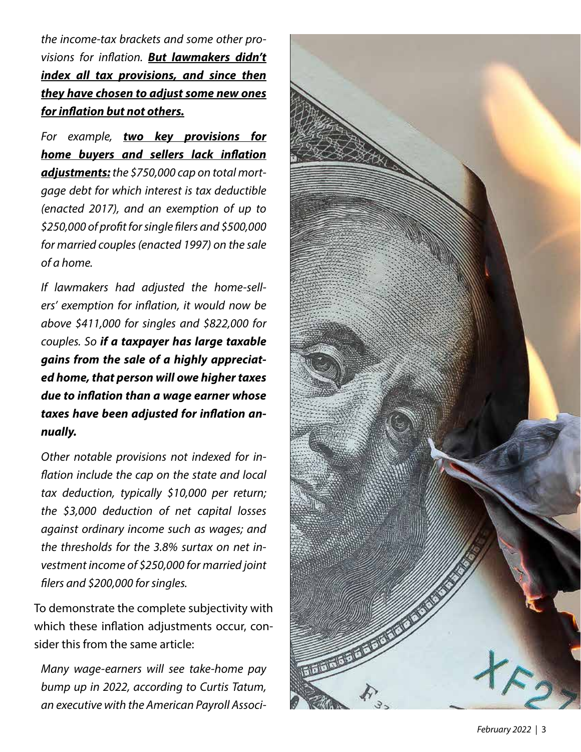*the income-tax brackets and some other provisions for inflation. But lawmakers didn't index all tax provisions, and since then they have chosen to adjust some new ones for inflation but not others.*

*For example, two key provisions for home buyers and sellers lack inflation adjustments: the \$750,000 cap on total mortgage debt for which interest is tax deductible (enacted 2017), and an exemption of up to \$250,000 of profit for single filers and \$500,000 for married couples (enacted 1997) on the sale of a home.*

*If lawmakers had adjusted the home-sellers' exemption for inflation, it would now be above \$411,000 for singles and \$822,000 for couples. So if a taxpayer has large taxable gains from the sale of a highly appreciated home, that person will owe higher taxes due to inflation than a wage earner whose taxes have been adjusted for inflation annually.*

*Other notable provisions not indexed for inflation include the cap on the state and local tax deduction, typically \$10,000 per return; the \$3,000 deduction of net capital losses against ordinary income such as wages; and the thresholds for the 3.8% surtax on net investment income of \$250,000 for married joint filers and \$200,000 for singles.*

To demonstrate the complete subjectivity with which these inflation adjustments occur, consider this from the same article:

*Many wage-earners will see take-home pay bump up in 2022, according to Curtis Tatum, an executive with the American Payroll Associ-*

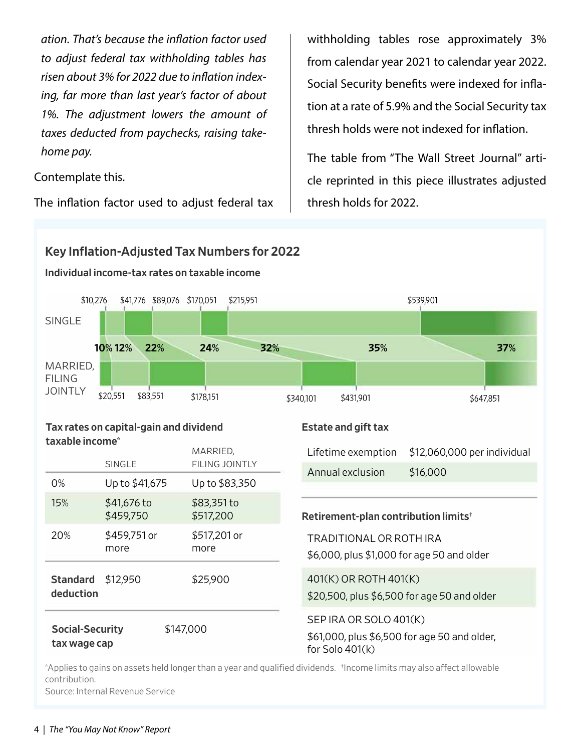*ation. That's because the inflation factor used to adjust federal tax withholding tables has risen about 3% for 2022 due to inflation indexing, far more than last year's factor of about 1%. The adjustment lowers the amount of taxes deducted from paychecks, raising takehome pay.*

Contemplate this.

The inflation factor used to adjust federal tax

withholding tables rose approximately 3% from calendar year 2021 to calendar year 2022. Social Security benefits were indexed for inflation at a rate of 5.9% and the Social Security tax thresh holds were not indexed for inflation.

The table from "The Wall Street Journal" article reprinted in this piece illustrates adjusted thresh holds for 2022.



\*Applies to gains on assets held longer than a year and qualified dividends. †Income limits may also affect allowable contribution.

Source: Internal Revenue Service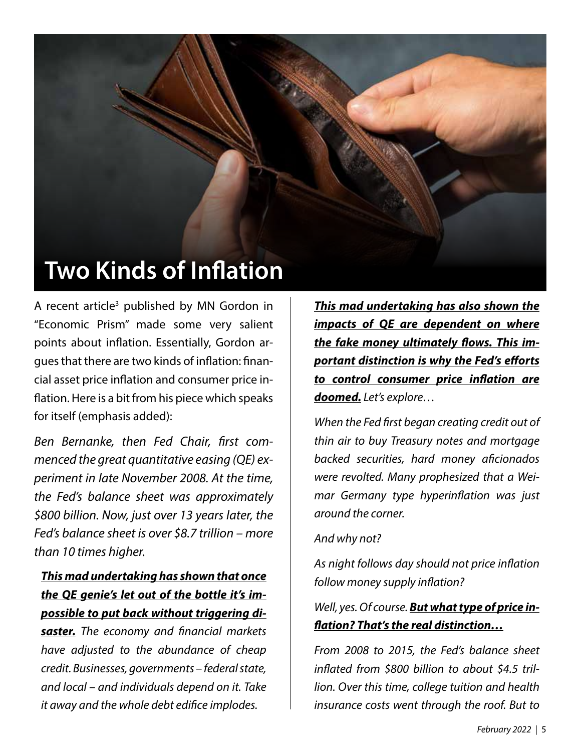

A recent article<sup>3</sup> published by MN Gordon in "Economic Prism" made some very salient points about inflation. Essentially, Gordon argues that there are two kinds of inflation: financial asset price inflation and consumer price inflation. Here is a bit from his piece which speaks for itself (emphasis added):

*Ben Bernanke, then Fed Chair, first commenced the great quantitative easing (QE) experiment in late November 2008. At the time, the Fed's balance sheet was approximately \$800 billion. Now, just over 13 years later, the Fed's balance sheet is over \$8.7 trillion – more than 10 times higher.*

#### *This mad undertaking has shown that once the QE genie's let out of the bottle it's impossible to put back without triggering di-*

*saster. The economy and financial markets have adjusted to the abundance of cheap credit. Businesses, governments – federal state, and local – and individuals depend on it. Take it away and the whole debt edifice implodes.*

*This mad undertaking has also shown the impacts of QE are dependent on where the fake money ultimately flows. This important distinction is why the Fed's efforts to control consumer price inflation are doomed. Let's explore…*

*When the Fed first began creating credit out of thin air to buy Treasury notes and mortgage backed securities, hard money aficionados were revolted. Many prophesized that a Weimar Germany type hyperinflation was just around the corner.*

#### *And why not?*

*As night follows day should not price inflation follow money supply inflation?*

*Well, yes. Of course. But what type of price inflation? That's the real distinction…*

*From 2008 to 2015, the Fed's balance sheet inflated from \$800 billion to about \$4.5 trillion. Over this time, college tuition and health insurance costs went through the roof. But to*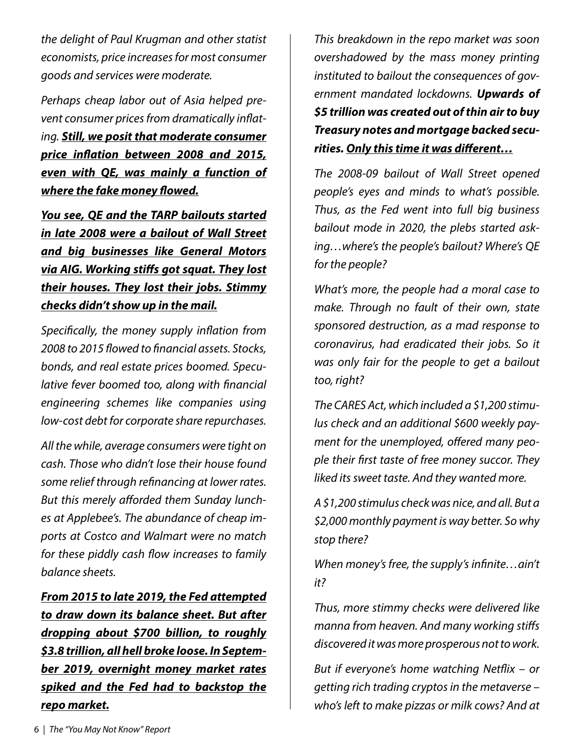*the delight of Paul Krugman and other statist economists, price increases for most consumer goods and services were moderate.*

*Perhaps cheap labor out of Asia helped prevent consumer prices from dramatically inflating. Still, we posit that moderate consumer price inflation between 2008 and 2015, even with QE, was mainly a function of where the fake money flowed.*

*You see, QE and the TARP bailouts started in late 2008 were a bailout of Wall Street and big businesses like General Motors via AIG. Working stiffs got squat. They lost their houses. They lost their jobs. Stimmy checks didn't show up in the mail.*

*Specifically, the money supply inflation from 2008 to 2015 flowed to financial assets. Stocks, bonds, and real estate prices boomed. Speculative fever boomed too, along with financial engineering schemes like companies using low-cost debt for corporate share repurchases.*

*All the while, average consumers were tight on cash. Those who didn't lose their house found some relief through refinancing at lower rates. But this merely afforded them Sunday lunches at Applebee's. The abundance of cheap imports at Costco and Walmart were no match for these piddly cash flow increases to family balance sheets.*

*From 2015 to late 2019, the Fed attempted to draw down its balance sheet. But after dropping about \$700 billion, to roughly \$3.8 trillion, all hell broke loose. In September 2019, overnight money market rates spiked and the Fed had to backstop the repo market.*

*This breakdown in the repo market was soon overshadowed by the mass money printing instituted to bailout the consequences of government mandated lockdowns. Upwards of \$5 trillion was created out of thin air to buy Treasury notes and mortgage backed securities. Only this time it was different…*

*The 2008-09 bailout of Wall Street opened people's eyes and minds to what's possible. Thus, as the Fed went into full big business bailout mode in 2020, the plebs started asking…where's the people's bailout? Where's QE for the people?*

*What's more, the people had a moral case to make. Through no fault of their own, state sponsored destruction, as a mad response to coronavirus, had eradicated their jobs. So it was only fair for the people to get a bailout too, right?*

*The CARES Act, which included a \$1,200 stimulus check and an additional \$600 weekly payment for the unemployed, offered many people their first taste of free money succor. They liked its sweet taste. And they wanted more.*

*A \$1,200 stimulus check was nice, and all. But a \$2,000 monthly payment is way better. So why stop there?*

*When money's free, the supply's infinite…ain't it?*

*Thus, more stimmy checks were delivered like manna from heaven. And many working stiffs discovered it was more prosperous not to work.*

*But if everyone's home watching Netflix – or getting rich trading cryptos in the metaverse – who's left to make pizzas or milk cows? And at*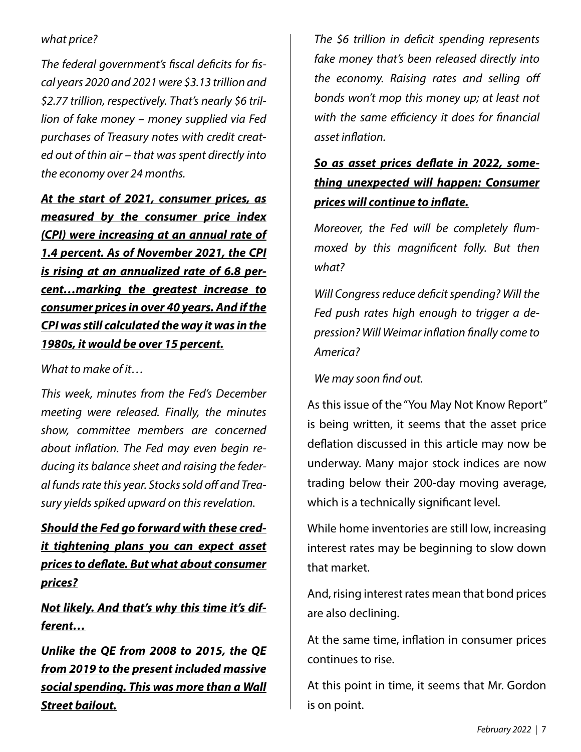#### *what price?*

*The federal government's fiscal deficits for fiscal years 2020 and 2021 were \$3.13 trillion and \$2.77 trillion, respectively. That's nearly \$6 trillion of fake money – money supplied via Fed purchases of Treasury notes with credit created out of thin air – that was spent directly into the economy over 24 months.*

*At the start of 2021, consumer prices, as measured by the consumer price index (CPI) were increasing at an annual rate of 1.4 percent. As of November 2021, the CPI is rising at an annualized rate of 6.8 percent…marking the greatest increase to consumer prices in over 40 years. And if the CPI was still calculated the way it was in the 1980s, it would be over 15 percent.*

*What to make of it…*

*This week, minutes from the Fed's December meeting were released. Finally, the minutes show, committee members are concerned about inflation. The Fed may even begin reducing its balance sheet and raising the federal funds rate this year. Stocks sold off and Treasury yields spiked upward on this revelation.*

*Should the Fed go forward with these credit tightening plans you can expect asset prices to deflate. But what about consumer prices?*

*Not likely. And that's why this time it's different…*

*Unlike the QE from 2008 to 2015, the QE from 2019 to the present included massive social spending. This was more than a Wall Street bailout.*

*The \$6 trillion in deficit spending represents fake money that's been released directly into the economy. Raising rates and selling off bonds won't mop this money up; at least not with the same efficiency it does for financial asset inflation.*

#### *So as asset prices deflate in 2022, something unexpected will happen: Consumer prices will continue to inflate.*

*Moreover, the Fed will be completely flummoxed by this magnificent folly. But then what?*

*Will Congress reduce deficit spending? Will the Fed push rates high enough to trigger a depression? Will Weimar inflation finally come to America?*

*We may soon find out.*

As this issue of the "You May Not Know Report" is being written, it seems that the asset price deflation discussed in this article may now be underway. Many major stock indices are now trading below their 200-day moving average, which is a technically significant level.

While home inventories are still low, increasing interest rates may be beginning to slow down that market.

And, rising interest rates mean that bond prices are also declining.

At the same time, inflation in consumer prices continues to rise.

At this point in time, it seems that Mr. Gordon is on point.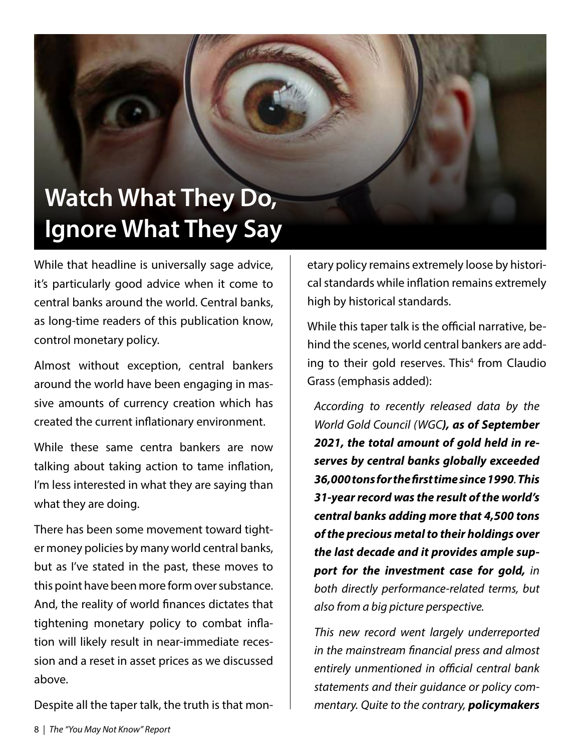## Watch What They Do, Ignore What They Say

While that headline is universally sage advice, it's particularly good advice when it come to central banks around the world. Central banks, as long-time readers of this publication know, control monetary policy.

Almost without exception, central bankers around the world have been engaging in massive amounts of currency creation which has created the current inflationary environment.

While these same centra bankers are now talking about taking action to tame inflation, I'm less interested in what they are saying than what they are doing.

There has been some movement toward tighter money policies by many world central banks, but as I've stated in the past, these moves to this point have been more form over substance. And, the reality of world finances dictates that tightening monetary policy to combat inflation will likely result in near-immediate recession and a reset in asset prices as we discussed above.

Despite all the taper talk, the truth is that mon-

etary policy remains extremely loose by historical standards while inflation remains extremely high by historical standards.

While this taper talk is the official narrative, behind the scenes, world central bankers are adding to their gold reserves. This<sup>4</sup> from Claudio Grass (emphasis added):

*According to recently released data by the World Gold Council (WGC), as of September 2021, the total amount of gold held in reserves by central banks globally exceeded 36,000 tons for the first time since 1990. This 31-year record was the result of the world's central banks adding more that 4,500 tons of the precious metal to their holdings over the last decade and it provides ample support for the investment case for gold, in both directly performance-related terms, but also from a big picture perspective.* 

*This new record went largely underreported in the mainstream financial press and almost entirely unmentioned in official central bank statements and their guidance or policy commentary. Quite to the contrary, policymakers*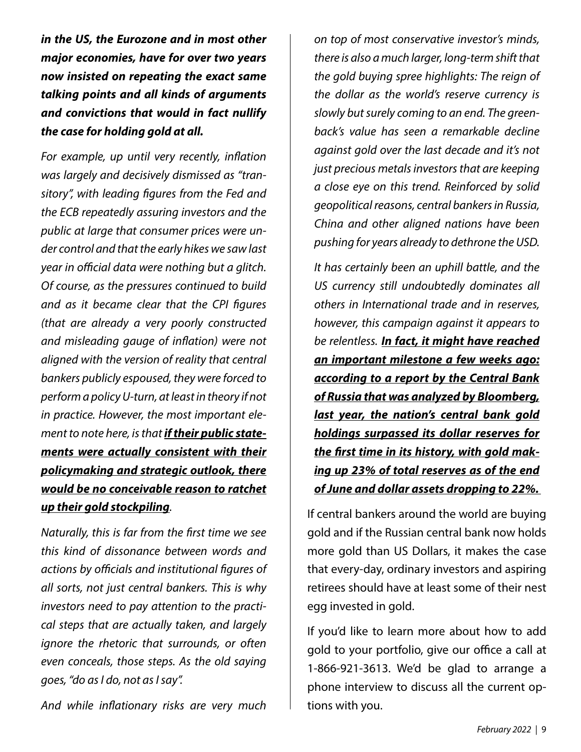*in the US, the Eurozone and in most other major economies, have for over two years now insisted on repeating the exact same talking points and all kinds of arguments and convictions that would in fact nullify the case for holding gold at all.* 

*For example, up until very recently, inflation was largely and decisively dismissed as "transitory", with leading figures from the Fed and the ECB repeatedly assuring investors and the public at large that consumer prices were under control and that the early hikes we saw last year in official data were nothing but a glitch. Of course, as the pressures continued to build and as it became clear that the CPI figures (that are already a very poorly constructed and misleading gauge of inflation) were not aligned with the version of reality that central bankers publicly espoused, they were forced to perform a policy U-turn, at least in theory if not in practice. However, the most important element to note here, is that if their public statements were actually consistent with their policymaking and strategic outlook, there would be no conceivable reason to ratchet up their gold stockpiling.*

*Naturally, this is far from the first time we see this kind of dissonance between words and actions by officials and institutional figures of all sorts, not just central bankers. This is why investors need to pay attention to the practical steps that are actually taken, and largely ignore the rhetoric that surrounds, or often even conceals, those steps. As the old saying goes, "do as I do, not as I say".* 

*And while inflationary risks are very much* 

*on top of most conservative investor's minds, there is also a much larger, long-term shift that the gold buying spree highlights: The reign of the dollar as the world's reserve currency is slowly but surely coming to an end. The greenback's value has seen a remarkable decline against gold over the last decade and it's not just precious metals investors that are keeping a close eye on this trend. Reinforced by solid geopolitical reasons, central bankers in Russia, China and other aligned nations have been pushing for years already to dethrone the USD.* 

*It has certainly been an uphill battle, and the US currency still undoubtedly dominates all others in International trade and in reserves, however, this campaign against it appears to be relentless. In fact, it might have reached an important milestone a few weeks ago: according to a report by the Central Bank of Russia that was analyzed by Bloomberg, last year, the nation's central bank gold holdings surpassed its dollar reserves for the first time in its history, with gold making up 23% of total reserves as of the end of June and dollar assets dropping to 22%.* 

If central bankers around the world are buying gold and if the Russian central bank now holds more gold than US Dollars, it makes the case that every-day, ordinary investors and aspiring retirees should have at least some of their nest egg invested in gold.

If you'd like to learn more about how to add gold to your portfolio, give our office a call at 1-866-921-3613. We'd be glad to arrange a phone interview to discuss all the current options with you.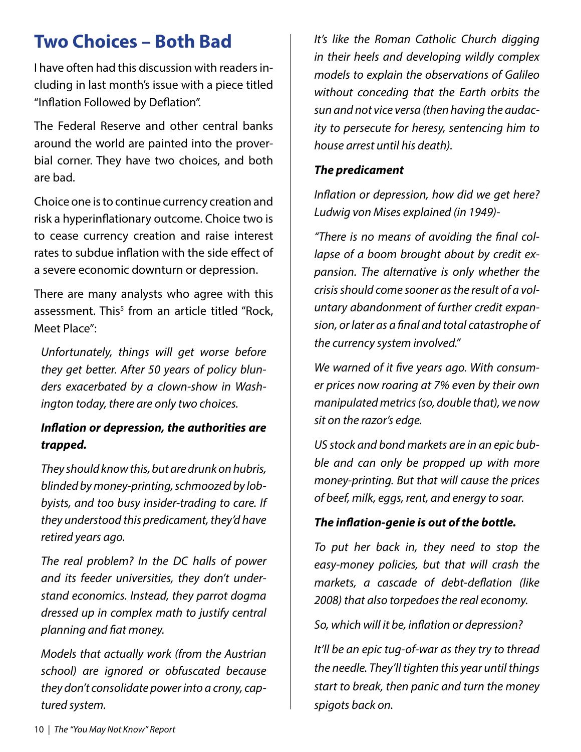## Two Choices – Both Bad

I have often had this discussion with readers including in last month's issue with a piece titled "Inflation Followed by Deflation".

The Federal Reserve and other central banks around the world are painted into the proverbial corner. They have two choices, and both are bad.

Choice one is to continue currency creation and risk a hyperinflationary outcome. Choice two is to cease currency creation and raise interest rates to subdue inflation with the side effect of a severe economic downturn or depression.

There are many analysts who agree with this assessment. This<sup>5</sup> from an article titled "Rock, Meet Place":

*Unfortunately, things will get worse before they get better. After 50 years of policy blunders exacerbated by a clown-show in Washington today, there are only two choices.*

#### *Inflation or depression, the authorities are trapped.*

*They should know this, but are drunk on hubris, blinded by money-printing, schmoozed by lobbyists, and too busy insider-trading to care. If they understood this predicament, they'd have retired years ago.*

*The real problem? In the DC halls of power and its feeder universities, they don't understand economics. Instead, they parrot dogma dressed up in complex math to justify central planning and fiat money.*

*Models that actually work (from the Austrian school) are ignored or obfuscated because they don't consolidate power into a crony, captured system.*

*It's like the Roman Catholic Church digging in their heels and developing wildly complex models to explain the observations of Galileo without conceding that the Earth orbits the sun and not vice versa (then having the audacity to persecute for heresy, sentencing him to house arrest until his death).*

#### *The predicament*

*Inflation or depression, how did we get here? Ludwig von Mises explained (in 1949)-*

*"There is no means of avoiding the final collapse of a boom brought about by credit expansion. The alternative is only whether the crisis should come sooner as the result of a voluntary abandonment of further credit expansion, or later as a final and total catastrophe of the currency system involved."*

*We warned of it five years ago. With consumer prices now roaring at 7% even by their own manipulated metrics (so, double that), we now sit on the razor's edge.*

*US stock and bond markets are in an epic bubble and can only be propped up with more money-printing. But that will cause the prices of beef, milk, eggs, rent, and energy to soar.*

#### *The inflation-genie is out of the bottle.*

*To put her back in, they need to stop the easy-money policies, but that will crash the markets, a cascade of debt-deflation (like 2008) that also torpedoes the real economy.*

*So, which will it be, inflation or depression?*

*It'll be an epic tug-of-war as they try to thread the needle. They'll tighten this year until things start to break, then panic and turn the money spigots back on.*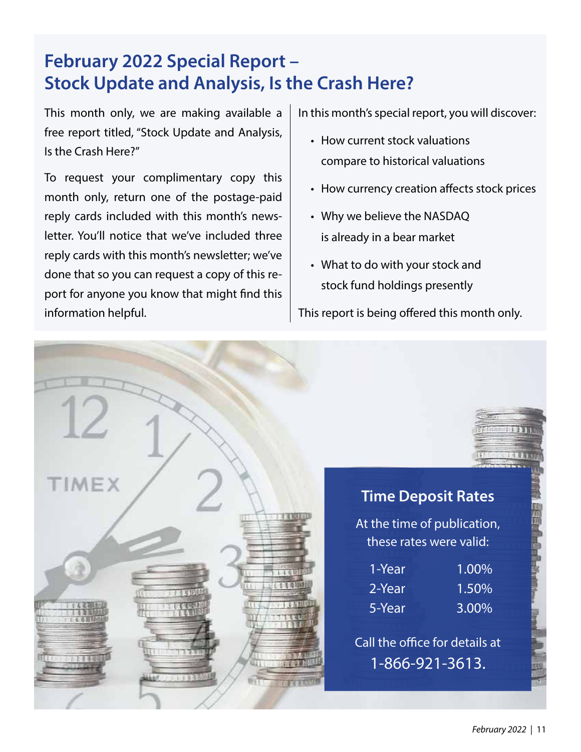## February 2022 Special Report – Stock Update and Analysis, Is the Crash Here?

This month only, we are making available a free report titled, "Stock Update and Analysis, Is the Crash Here?"

To request your complimentary copy this month only, return one of the postage-paid reply cards included with this month's newsletter. You'll notice that we've included three reply cards with this month's newsletter; we've done that so you can request a copy of this report for anyone you know that might find this information helpful.

In this month's special report, you will discover:

- How current stock valuations compare to historical valuations
- How currency creation affects stock prices
- Why we believe the NASDAQ is already in a bear market
- What to do with your stock and stock fund holdings presently

This report is being offered this month only.

|                       |        | <b>MAGAZINETATAR</b><br>1. 行作员                           |  |
|-----------------------|--------|----------------------------------------------------------|--|
| <b>TIMEX</b>          |        | <b>Time Deposit Rates</b><br>At the time of publication, |  |
|                       |        | these rates were valid:                                  |  |
|                       | 1-Year | 1.00%                                                    |  |
| 经和事案<br>6 4 6 年10点    | 2-Year | 1.50%                                                    |  |
| $+1.1$ $+1.1$         | 5-Year | 3.00%                                                    |  |
|                       |        | Call the office for details at                           |  |
| <b>Akad All Links</b> |        | 1-866-921-3613.                                          |  |
|                       |        |                                                          |  |